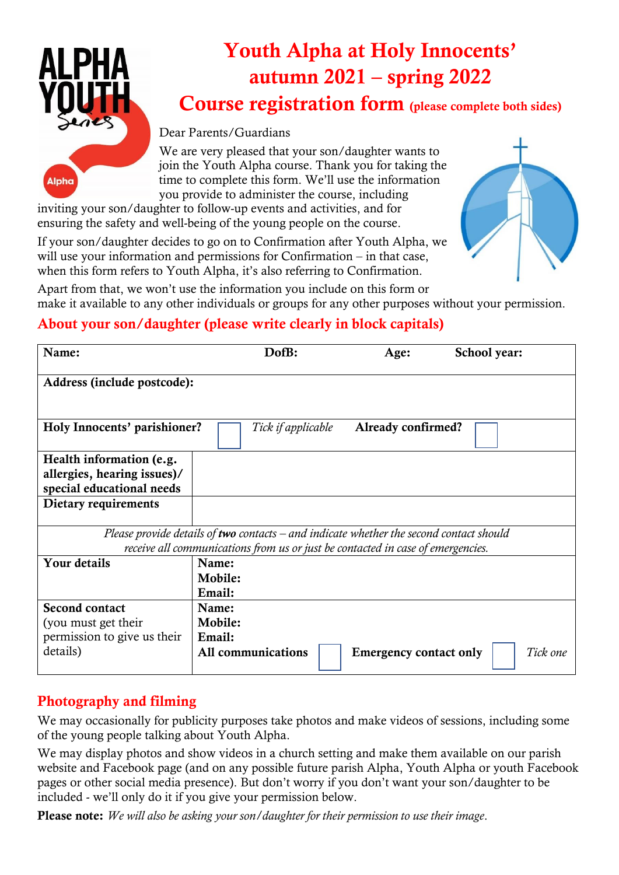**Alpha** 

# Youth Alpha at Holy Innocents' autumn 2021 – spring 2022

Course registration form (please complete both sides)

#### Dear Parents/Guardians

We are very pleased that your son/daughter wants to join the Youth Alpha course. Thank you for taking the time to complete this form. We'll use the information you provide to administer the course, including

inviting your son/daughter to follow-up events and activities, and for ensuring the safety and well-being of the young people on the course.

If your son/daughter decides to go on to Confirmation after Youth Alpha, we will use your information and permissions for Confirmation – in that case, when this form refers to Youth Alpha, it's also referring to Confirmation.



Apart from that, we won't use the information you include on this form or make it available to any other individuals or groups for any other purposes without your permission.

# About your son/daughter (please write clearly in block capitals)

| Name:                                                                                   | DofB:              | Age:                          | School year: |
|-----------------------------------------------------------------------------------------|--------------------|-------------------------------|--------------|
| Address (include postcode):                                                             |                    |                               |              |
| Holy Innocents' parishioner?                                                            | Tick if applicable | Already confirmed?            |              |
| Health information (e.g.                                                                |                    |                               |              |
| allergies, hearing issues)/                                                             |                    |                               |              |
| special educational needs                                                               |                    |                               |              |
| Dietary requirements                                                                    |                    |                               |              |
|                                                                                         |                    |                               |              |
| Please provide details of two contacts – and indicate whether the second contact should |                    |                               |              |
| receive all communications from us or just be contacted in case of emergencies.         |                    |                               |              |
| Your details                                                                            | Name:              |                               |              |
|                                                                                         | Mobile:            |                               |              |
|                                                                                         | Email:             |                               |              |
| <b>Second contact</b>                                                                   | Name:              |                               |              |
| (you must get their                                                                     | Mobile:            |                               |              |
| permission to give us their                                                             | Email:             |                               |              |
| details)                                                                                | All communications | <b>Emergency contact only</b> | Tick one     |

## Photography and filming

We may occasionally for publicity purposes take photos and make videos of sessions, including some of the young people talking about Youth Alpha.

We may display photos and show videos in a church setting and make them available on our parish website and Facebook page (and on any possible future parish Alpha, Youth Alpha or youth Facebook pages or other social media presence). But don't worry if you don't want your son/daughter to be included - we'll only do it if you give your permission below.

Please note: *We will also be asking your son/daughter for their permission to use their image*.